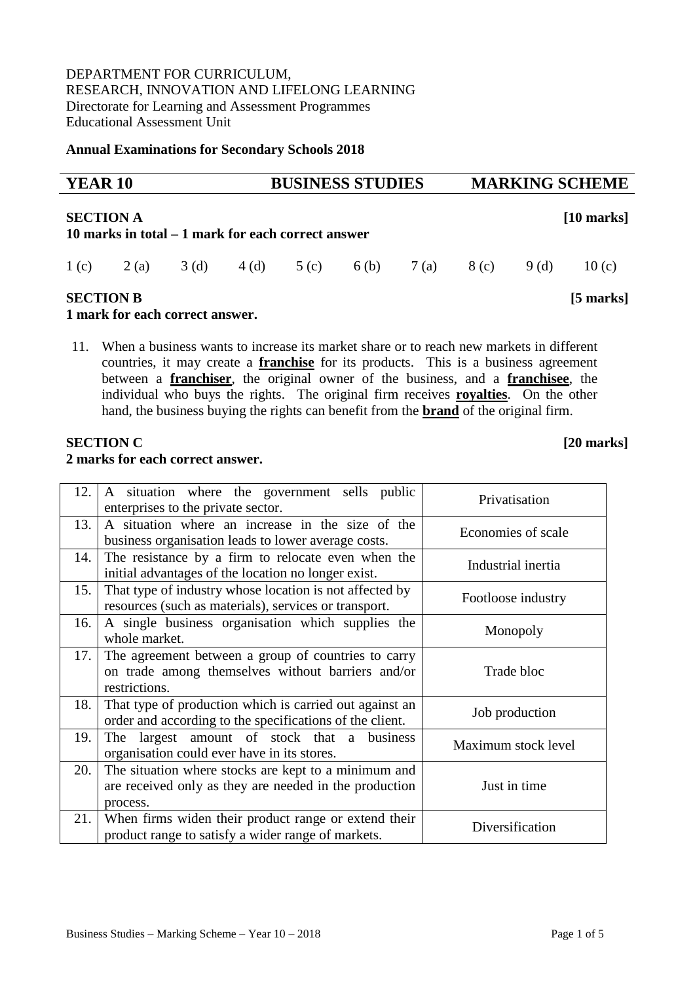DEPARTMENT FOR CURRICULUM, RESEARCH, INNOVATION AND LIFELONG LEARNING Directorate for Learning and Assessment Programmes Educational Assessment Unit

**Annual Examinations for Secondary Schools 2018**

| <b>YEAR 10</b>   |       |                                                                                                                                                                         |      | <b>BUSINESS STUDIES</b> |                  |      |      | <b>MARKING SCHEME</b> |              |  |
|------------------|-------|-------------------------------------------------------------------------------------------------------------------------------------------------------------------------|------|-------------------------|------------------|------|------|-----------------------|--------------|--|
| <b>SECTION A</b> |       | 10 marks in total – 1 mark for each correct answer                                                                                                                      |      |                         |                  |      |      |                       | $[10$ marks] |  |
| 1(c)             | 2 (a) | 3(d)                                                                                                                                                                    | 4(d) | 5(c)                    | 6 <sub>(b)</sub> | 7(a) | 8(c) | 9 (d)                 | 10(c)        |  |
| <b>SECTION B</b> |       | $\blacksquare$ . $\blacksquare$ . $\blacksquare$ . $\blacksquare$ . $\blacksquare$ . $\blacksquare$ . $\blacksquare$ . $\blacksquare$ . $\blacksquare$ . $\blacksquare$ |      |                         |                  |      |      |                       | $[5$ marks]  |  |

## **1 mark for each correct answer.**

11. When a business wants to increase its market share or to reach new markets in different countries, it may create a **franchise** for its products. This is a business agreement between a **franchiser**, the original owner of the business, and a **franchisee**, the individual who buys the rights. The original firm receives **royalties**. On the other hand, the business buying the rights can benefit from the **brand** of the original firm.

## **SECTION C** [20 **marks**]

#### **2 marks for each correct answer.**

| 12.  | A situation where the government sells public<br>enterprises to the private sector.                                        | Privatisation       |
|------|----------------------------------------------------------------------------------------------------------------------------|---------------------|
| 13.  | A situation where an increase in the size of the<br>business organisation leads to lower average costs.                    | Economies of scale  |
| 14.  | The resistance by a firm to relocate even when the<br>initial advantages of the location no longer exist.                  | Industrial inertia  |
| 15.  | That type of industry whose location is not affected by<br>resources (such as materials), services or transport.           | Footloose industry  |
| 16.  | A single business organisation which supplies the<br>whole market.                                                         | Monopoly            |
| 17.1 | The agreement between a group of countries to carry<br>on trade among themselves without barriers and/or<br>restrictions.  | Trade bloc          |
| 18.  | That type of production which is carried out against an<br>order and according to the specifications of the client.        | Job production      |
| 19.  | The largest amount of stock that a business<br>organisation could ever have in its stores.                                 | Maximum stock level |
| 20.  | The situation where stocks are kept to a minimum and<br>are received only as they are needed in the production<br>process. | Just in time        |
| 21.  | When firms widen their product range or extend their<br>product range to satisfy a wider range of markets.                 | Diversification     |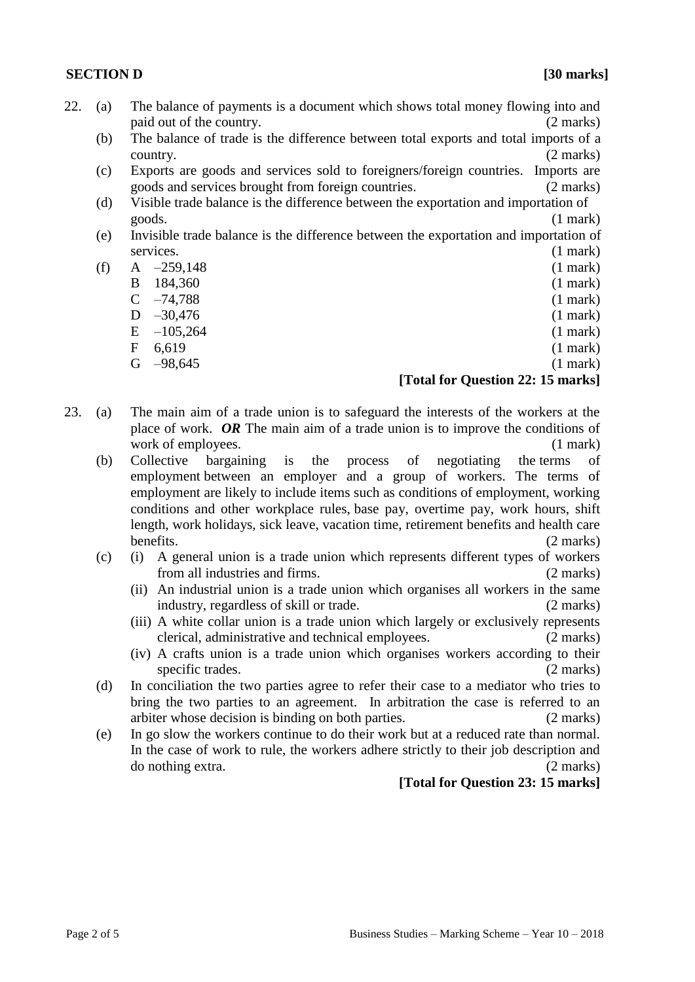#### **SECTION D [30] marks]**

- 22. (a) The balance of payments is a document which shows total money flowing into and paid out of the country. (2 marks)
	- (b) The balance of trade is the difference between total exports and total imports of a country. (2 marks)
	- (c) Exports are goods and services sold to foreigners/foreign countries. Imports are goods and services brought from foreign countries. (2 marks)
	- (d) Visible trade balance is the difference between the exportation and importation of goods. (1 mark)
	- (e) Invisible trade balance is the difference between the exportation and importation of services. (1 mark)
	- (f)  $A \t -259,148$  (1 mark) B 184,360 (1 mark)
		- $C$  –74,788 (1 mark)
		- $D -30,476$  (1 mark)
		- E  $-105,264$  (1 mark)
		-
		- $F = 6,619$  (1 mark)

# $G = -98.645$  (1 mark)

## **[Total for Question 22: 15 marks]**

- 23. (a) The main aim of a trade union is to safeguard the interests of the workers at the place of work. *OR* The main aim of a trade union is to improve the conditions of work of employees. (1 mark)
	- (b) Collective bargaining is the process of negotiating the [terms of](https://www.investopedia.com/terms/t/terms-of-employment.asp)  [employment](https://www.investopedia.com/terms/t/terms-of-employment.asp) between an employer and a group of workers. The terms of employment are likely to include items such as conditions of employment, working conditions and other workplace rules, [base pay,](https://www.investopedia.com/terms/b/base-pay.asp) overtime pay, work hours, shift length, work holidays, sick leave, vacation time, retirement benefits and health care benefits. (2 marks)
	- (c) (i) A general union is a trade union which represents different types of workers from all industries and firms. (2 marks)
		- (ii) An industrial union is a trade union which organises all workers in the same industry, regardless of skill or trade. (2 marks)
		- (iii) A white collar union is a trade union which largely or exclusively represents clerical, administrative and technical employees. (2 marks)
		- (iv) A crafts union is a trade union which organises workers according to their specific trades. (2 marks)
	- (d) In conciliation the two parties agree to refer their case to a mediator who tries to bring the two parties to an agreement. In arbitration the case is referred to an arbiter whose decision is binding on both parties. (2 marks)
	- (e) In go slow the workers continue to do their work but at a reduced rate than normal. In the case of work to rule, the workers adhere strictly to their job description and do nothing extra. (2 marks)

## **[Total for Question 23: 15 marks]**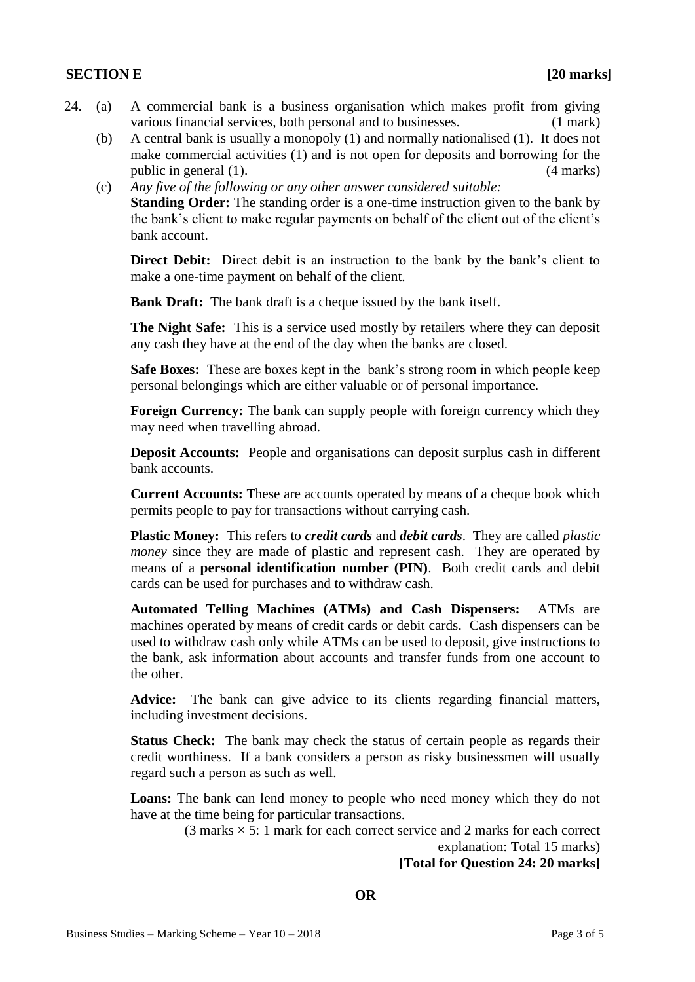#### **SECTION E [20 marks]**

- 24. (a) A commercial bank is a business organisation which makes profit from giving various financial services, both personal and to businesses. (1 mark)
	- (b) A central bank is usually a monopoly (1) and normally nationalised (1). It does not make commercial activities (1) and is not open for deposits and borrowing for the public in general (1). (4 marks)
	- (c) *Any five of the following or any other answer considered suitable:*

**Standing Order:** The standing order is a one-time instruction given to the bank by the bank's client to make regular payments on behalf of the client out of the client's bank account.

**Direct Debit:** Direct debit is an instruction to the bank by the bank's client to make a one-time payment on behalf of the client.

**Bank Draft:** The bank draft is a cheque issued by the bank itself.

**The Night Safe:** This is a service used mostly by retailers where they can deposit any cash they have at the end of the day when the banks are closed.

**Safe Boxes:** These are boxes kept in the bank's strong room in which people keep personal belongings which are either valuable or of personal importance.

**Foreign Currency:** The bank can supply people with foreign currency which they may need when travelling abroad.

**Deposit Accounts:** People and organisations can deposit surplus cash in different bank accounts.

**Current Accounts:** These are accounts operated by means of a cheque book which permits people to pay for transactions without carrying cash.

**Plastic Money:** This refers to *credit cards* and *debit cards*. They are called *plastic money* since they are made of plastic and represent cash. They are operated by means of a **personal identification number (PIN)**. Both credit cards and debit cards can be used for purchases and to withdraw cash.

**Automated Telling Machines (ATMs) and Cash Dispensers:** ATMs are machines operated by means of credit cards or debit cards. Cash dispensers can be used to withdraw cash only while ATMs can be used to deposit, give instructions to the bank, ask information about accounts and transfer funds from one account to the other.

**Advice:** The bank can give advice to its clients regarding financial matters, including investment decisions.

**Status Check:** The bank may check the status of certain people as regards their credit worthiness. If a bank considers a person as risky businessmen will usually regard such a person as such as well.

**Loans:** The bank can lend money to people who need money which they do not have at the time being for particular transactions.

 $(3 \text{ marks} \times 5: 1 \text{ mark}$  for each correct service and 2 marks for each correct

explanation: Total 15 marks)

**[Total for Question 24: 20 marks]**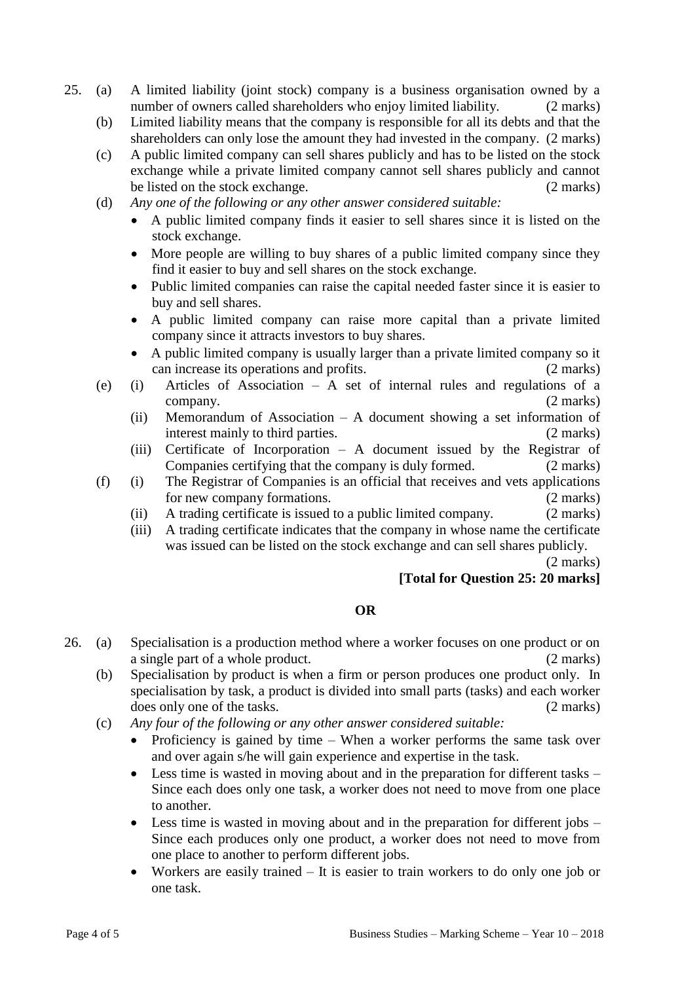- 25. (a) A limited liability (joint stock) company is a business organisation owned by a number of owners called shareholders who enjoy limited liability. (2 marks)
	- (b) Limited liability means that the company is responsible for all its debts and that the shareholders can only lose the amount they had invested in the company. (2 marks)
	- (c) A public limited company can sell shares publicly and has to be listed on the stock exchange while a private limited company cannot sell shares publicly and cannot be listed on the stock exchange. (2 marks)
	- (d) *Any one of the following or any other answer considered suitable:*
		- A public limited company finds it easier to sell shares since it is listed on the stock exchange.
		- More people are willing to buy shares of a public limited company since they find it easier to buy and sell shares on the stock exchange.
		- Public limited companies can raise the capital needed faster since it is easier to buy and sell shares.
		- A public limited company can raise more capital than a private limited company since it attracts investors to buy shares.
		- A public limited company is usually larger than a private limited company so it can increase its operations and profits. (2 marks)
	- (e) (i) Articles of Association A set of internal rules and regulations of a company. (2 marks)
		- (ii) Memorandum of Association A document showing a set information of interest mainly to third parties. (2 marks)
		- (iii) Certificate of Incorporation A document issued by the Registrar of Companies certifying that the company is duly formed. (2 marks)
	- (f) (i) The Registrar of Companies is an official that receives and vets applications for new company formations. (2 marks)
		- (ii) A trading certificate is issued to a public limited company. (2 marks)
		- (iii) A trading certificate indicates that the company in whose name the certificate was issued can be listed on the stock exchange and can sell shares publicly.

(2 marks)

## **[Total for Question 25: 20 marks]**

## **OR**

- 26. (a) Specialisation is a production method where a worker focuses on one product or on a single part of a whole product. (2 marks)
	- (b) Specialisation by product is when a firm or person produces one product only. In specialisation by task, a product is divided into small parts (tasks) and each worker does only one of the tasks. (2 marks)
	- (c) *Any four of the following or any other answer considered suitable:*
		- Proficiency is gained by time When a worker performs the same task over and over again s/he will gain experience and expertise in the task.
		- Less time is wasted in moving about and in the preparation for different tasks Since each does only one task, a worker does not need to move from one place to another.
		- Less time is wasted in moving about and in the preparation for different jobs Since each produces only one product, a worker does not need to move from one place to another to perform different jobs.
		- Workers are easily trained It is easier to train workers to do only one job or one task.